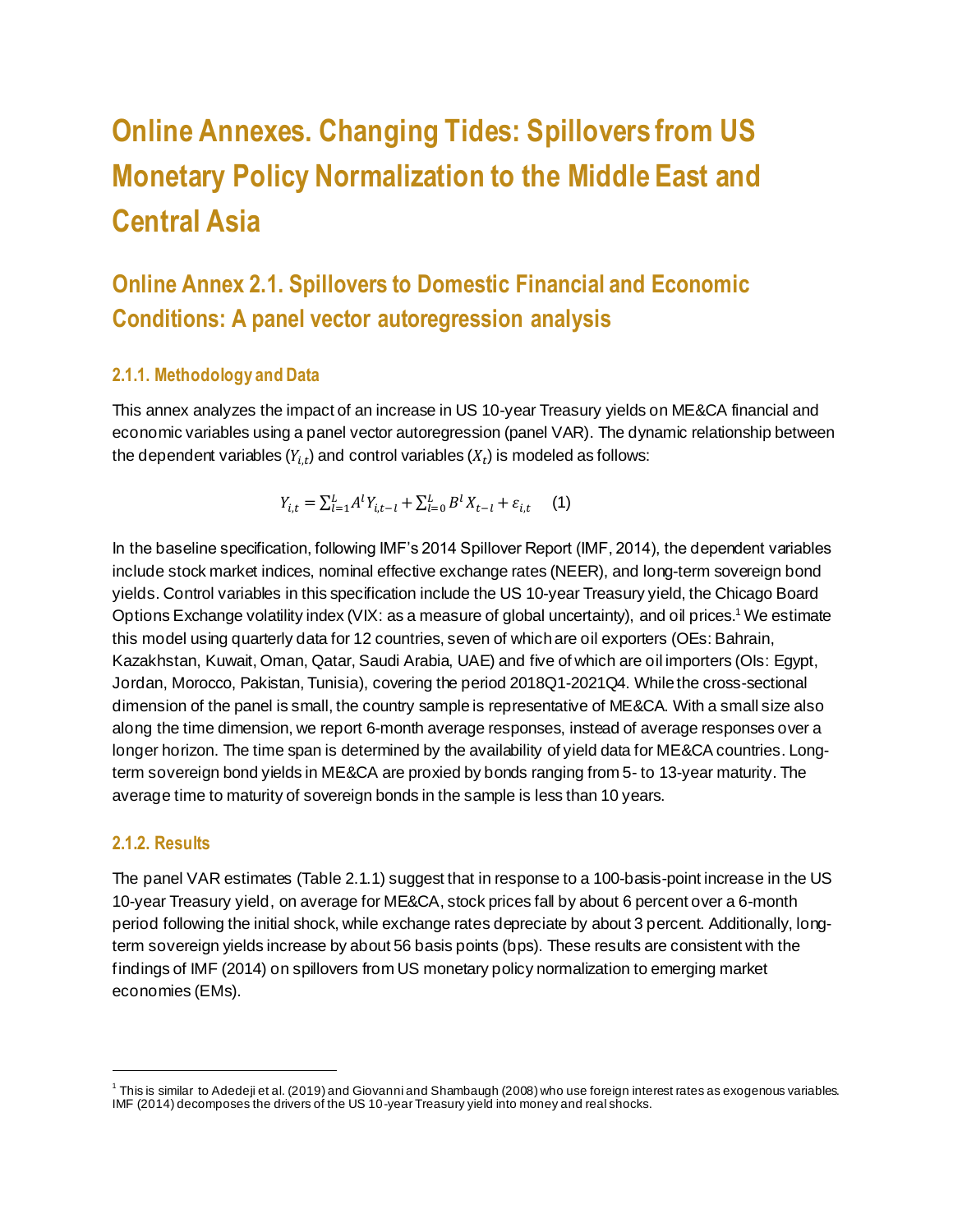# **Online Annexes. Changing Tides: Spillovers from US Monetary Policy Normalization to the Middle East and Central Asia**

# **Online Annex 2.1. Spillovers to Domestic Financial and Economic Conditions: A panel vector autoregression analysis**

# **2.1.1. Methodology and Data**

This annex analyzes the impact of an increase in US 10-year Treasury yields on ME&CA financial and economic variables using a panel vector autoregression (panel VAR). The dynamic relationship between the dependent variables ( $Y_{i,t}$ ) and control variables ( $X_t$ ) is modeled as follows:

$$
Y_{i,t} = \sum_{l=1}^{L} A^l Y_{i,t-l} + \sum_{l=0}^{L} B^l X_{t-l} + \varepsilon_{i,t} \tag{1}
$$

In the baseline specification, following IMF's 2014 Spillover Report (IMF, 2014), the dependent variables include stock market indices, nominal effective exchange rates (NEER), and long-term sovereign bond yields. Control variables in this specification include the US 10-year Treasury yield, the Chicago Board Options Exchange volatility index (VIX: as a measure of global uncertainty), and oil prices.<sup>1</sup> We estimate this model using quarterly data for 12 countries, seven of which are oil exporters (OEs: Bahrain, Kazakhstan, Kuwait, Oman, Qatar, Saudi Arabia, UAE) and five of which are oil importers (OIs: Egypt, Jordan, Morocco, Pakistan, Tunisia), covering the period 2018Q1-2021Q4. While the cross-sectional dimension of the panel is small, the country sample is representative of ME&CA. With a small size also along the time dimension, we report 6-month average responses, instead of average responses over a longer horizon. The time span is determined by the availability of yield data for ME&CA countries. Longterm sovereign bond yields in ME&CA are proxied by bonds ranging from 5- to 13-year maturity. The average time to maturity of sovereign bonds in the sample is less than 10 years.

#### **2.1.2. Results**

The panel VAR estimates (Table 2.1.1) suggest that in response to a 100-basis-point increase in the US 10-year Treasury yield, on average for ME&CA, stock prices fall by about 6 percent over a 6-month period following the initial shock, while exchange rates depreciate by about 3 percent. Additionally, longterm sovereign yields increase by about 56 basis points (bps). These results are consistent with the findings of IMF (2014) on spillovers from US monetary policy normalization to emerging market economies (EMs).

 $^1$  This is similar to Adedeji et al. (2019) and Giovanni and Shambaugh (2008) who use foreign interest rates as exogenous variables. IMF (2014) decomposes the drivers of the US 10-year Treasury yield into money and real shocks.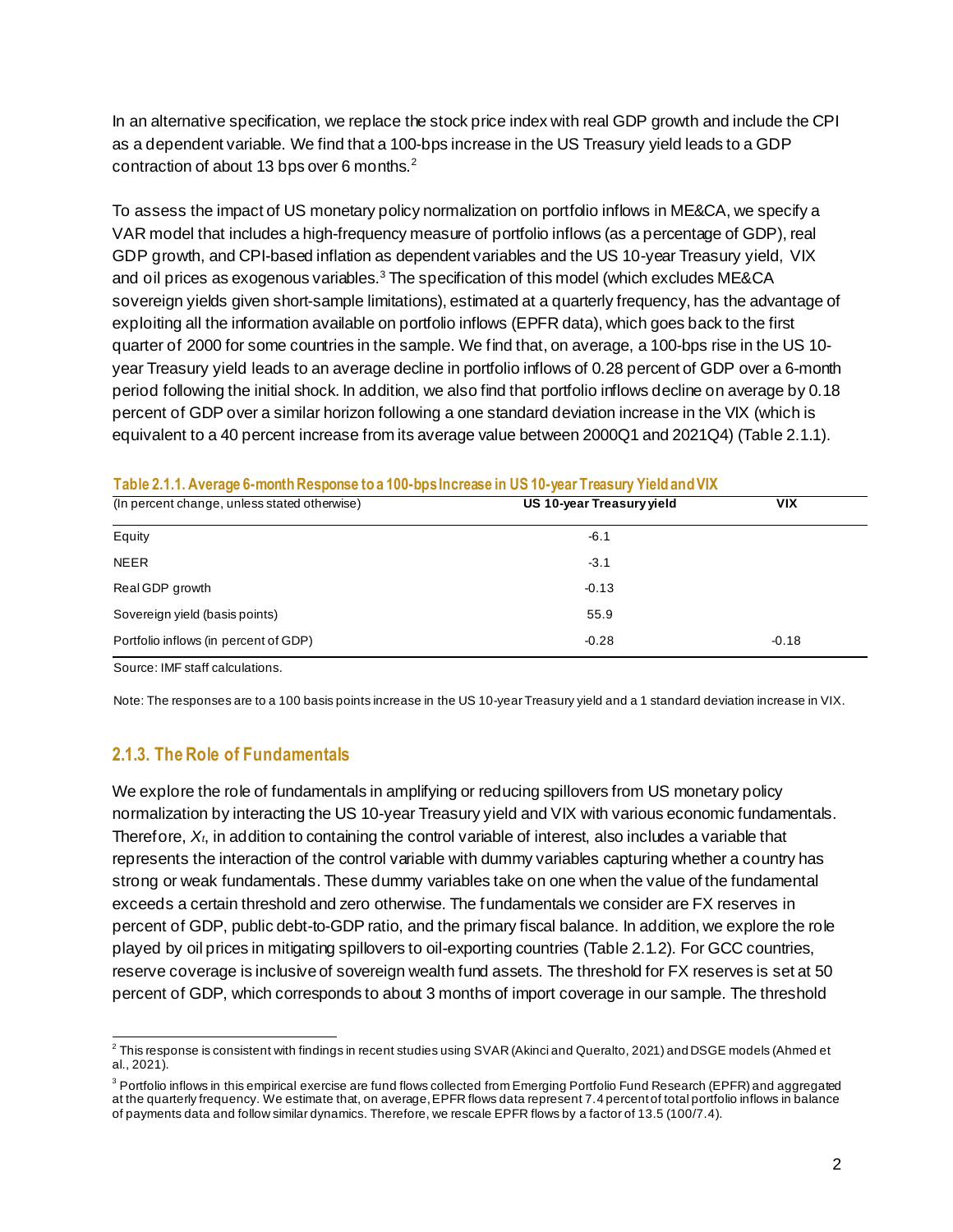In an alternative specification, we replace the stock price index with real GDP growth and include the CPI as a dependent variable. We find that a 100-bps increase in the US Treasury yield leads to a GDP contraction of about 13 bps over 6 months.<sup>2</sup>

To assess the impact of US monetary policy normalization on portfolio inflows in ME&CA, we specify a VAR model that includes a high-frequency measure of portfolio inflows (as a percentage of GDP), real GDP growth, and CPI-based inflation as dependent variables and the US 10-year Treasury yield, VIX and oil prices as exogenous variables.<sup>3</sup> The specification of this model (which excludes ME&CA sovereign yields given short-sample limitations), estimated at a quarterly frequency, has the advantage of exploiting all the information available on portfolio inflows (EPFR data), which goes back to the first quarter of 2000 for some countries in the sample. We find that, on average, a 100-bps rise in the US 10 year Treasury yield leads to an average decline in portfolio inflows of 0.28 percent of GDP over a 6-month period following the initial shock. In addition, we also find that portfolio inflows decline on average by 0.18 percent of GDP over a similar horizon following a one standard deviation increase in the VIX (which is equivalent to a 40 percent increase from its average value between 2000Q1 and 2021Q4) (Table 2.1.1).

| <b>TWARD ETTER THANGED IN A THROUGH A TABLE TO A TABLE TO A TABLE TO A TABLE TO A TABLE TO A TABLE TO A TABLE TO</b><br>(In percent change, unless stated otherwise) | US 10-year Treasury yield | <b>VIX</b> |
|----------------------------------------------------------------------------------------------------------------------------------------------------------------------|---------------------------|------------|
| Equity                                                                                                                                                               | $-6.1$                    |            |
| <b>NEER</b>                                                                                                                                                          | $-3.1$                    |            |
| Real GDP growth                                                                                                                                                      | $-0.13$                   |            |
| Sovereign yield (basis points)                                                                                                                                       | 55.9                      |            |
| Portfolio inflows (in percent of GDP)                                                                                                                                | $-0.28$                   | $-0.18$    |

| Table 2.1.1. Average 6-month Response to a 100-bps Increase in US 10-year Treasury Yield and VIX |  |  |  |  |  |  |  |
|--------------------------------------------------------------------------------------------------|--|--|--|--|--|--|--|
|--------------------------------------------------------------------------------------------------|--|--|--|--|--|--|--|

Source: IMF staff calculations.

Note: The responses are to a 100 basis points increase in the US 10-year Treasury yield and a 1 standard deviation increase in VIX.

# **2.1.3. The Role of Fundamentals**

We explore the role of fundamentals in amplifying or reducing spillovers from US monetary policy normalization by interacting the US 10-year Treasury yield and VIX with various economic fundamentals. Therefore,  $X_t$ , in addition to containing the control variable of interest, also includes a variable that represents the interaction of the control variable with dummy variables capturing whether a country has strong or weak fundamentals. These dummy variables take on one when the value of the fundamental exceeds a certain threshold and zero otherwise. The fundamentals we consider are FX reserves in percent of GDP, public debt-to-GDP ratio, and the primary fiscal balance. In addition, we explore the role played by oil prices in mitigating spillovers to oil-exporting countries (Table 2.1.2). For GCC countries, reserve coverage is inclusive of sovereign wealth fund assets. The threshold for FX reserves is set at 50 percent of GDP, which corresponds to about 3 months of import coverage in our sample. The threshold

 $^2$  This response is consistent with findings in recent studies using SVAR (Akinci and Queralto, 2021) and DSGE models (Ahmed et al., 2021).

 $3$  Portfolio inflows in this empirical exercise are fund flows collected from Emerging Portfolio Fund Research (EPFR) and aggregated at the quarterly frequency. We estimate that, on average, EPFR flows data represent 7.4 percent of total portfolio inflows in balance of payments data and follow similar dynamics. Therefore, we rescale EPFR flows by a factor of 13.5 (100/7.4).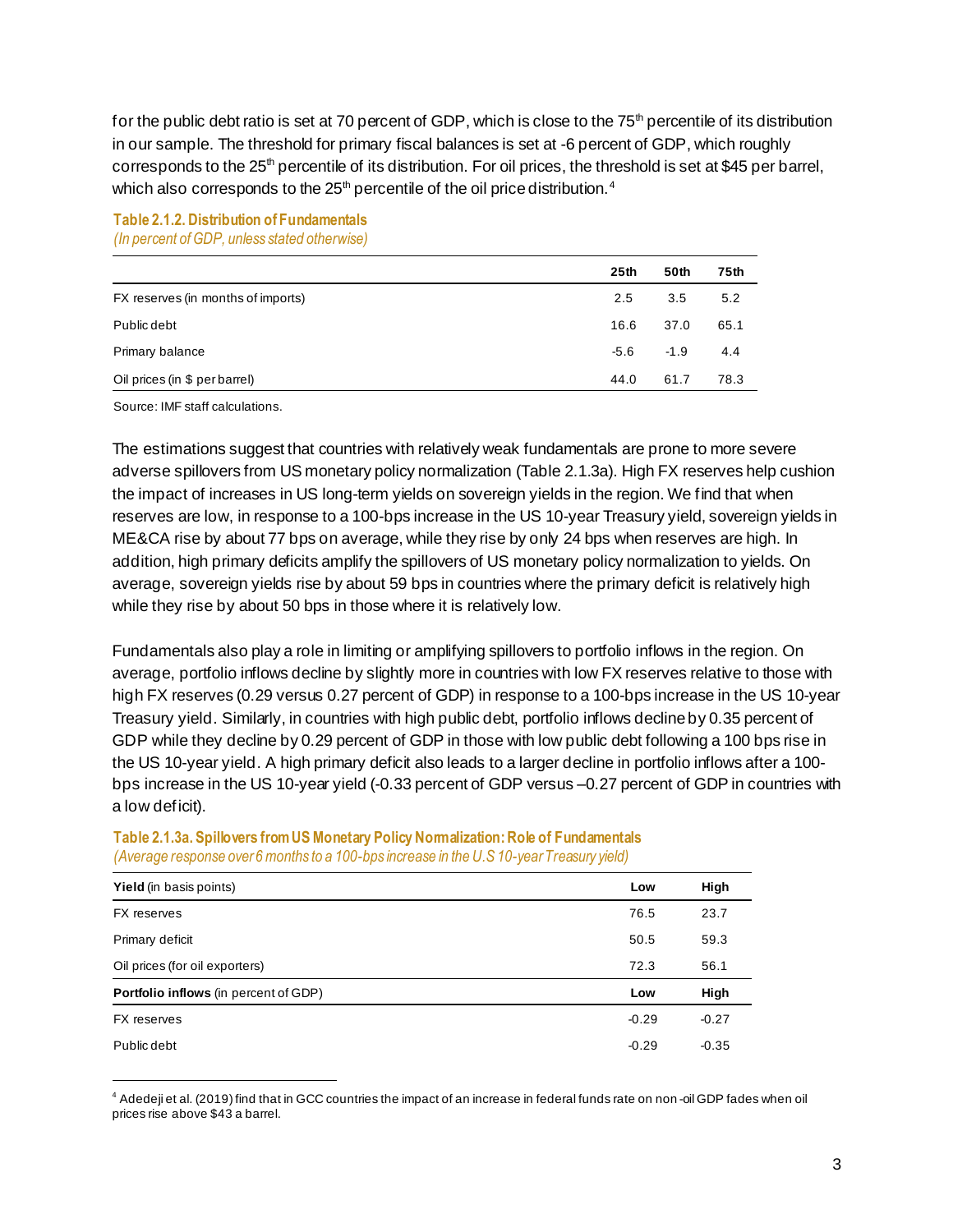for the public debt ratio is set at 70 percent of GDP, which is close to the  $75<sup>th</sup>$  percentile of its distribution in our sample. The threshold for primary fiscal balances is set at -6 percent of GDP, which roughly corresponds to the  $25<sup>th</sup>$  percentile of its distribution. For oil prices, the threshold is set at \$45 per barrel, which also corresponds to the  $25<sup>th</sup>$  percentile of the oil price distribution.<sup>4</sup>



|                                    | 25 <sub>th</sub> | 50th   | 75th |
|------------------------------------|------------------|--------|------|
| FX reserves (in months of imports) | 2.5              | 3.5    | 5.2  |
| Public debt                        | 16.6             | 37.0   | 65.1 |
| Primary balance                    | $-5.6$           | $-1.9$ | 4.4  |
| Oil prices (in \$ per barrel)      | 44.0             | 61.7   | 78.3 |
|                                    |                  |        |      |

Source: IMF staff calculations.

The estimations suggest that countries with relatively weak fundamentals are prone to more severe adverse spillovers from US monetary policy normalization (Table 2.1.3a). High FX reserves help cushion the impact of increases in US long-term yields on sovereign yields in the region. We find that when reserves are low, in response to a 100-bps increase in the US 10-year Treasury yield, sovereign yields in ME&CA rise by about 77 bps on average, while they rise by only 24 bps when reserves are high. In addition, high primary deficits amplify the spillovers of US monetary policy normalization to yields. On average, sovereign yields rise by about 59 bps in countries where the primary deficit is relatively high while they rise by about 50 bps in those where it is relatively low.

Fundamentals also play a role in limiting or amplifying spillovers to portfolio inflows in the region. On average, portfolio inflows decline by slightly more in countries with low FX reserves relative to those with high FX reserves (0.29 versus 0.27 percent of GDP) in response to a 100-bps increase in the US 10-year Treasury yield. Similarly, in countries with high public debt, portfolio inflows decline by 0.35 percent of GDP while they decline by 0.29 percent of GDP in those with low public debt following a 100 bps rise in the US 10-year yield. A high primary deficit also leads to a larger decline in portfolio inflows after a 100 bps increase in the US 10-year yield (-0.33 percent of GDP versus –0.27 percent of GDP in countries with a low deficit).

| Table 2.1.3a. Spillovers from US Monetary Policy Normalization: Role of Fundamentals     |
|------------------------------------------------------------------------------------------|
| (Average response over 6 months to a 100-bps increase in the U.S 10-year Treasury yield) |

| . .     |         |
|---------|---------|
| Low     | High    |
| 76.5    | 23.7    |
| 50.5    | 59.3    |
| 72.3    | 56.1    |
| Low     | High    |
| $-0.29$ | $-0.27$ |
| $-0.29$ | $-0.35$ |
|         |         |

<sup>4</sup> Adedeji et al. (2019) find that in GCC countries the impact of an increase in federal funds rate on non -oil GDP fades when oil prices rise above \$43 a barrel.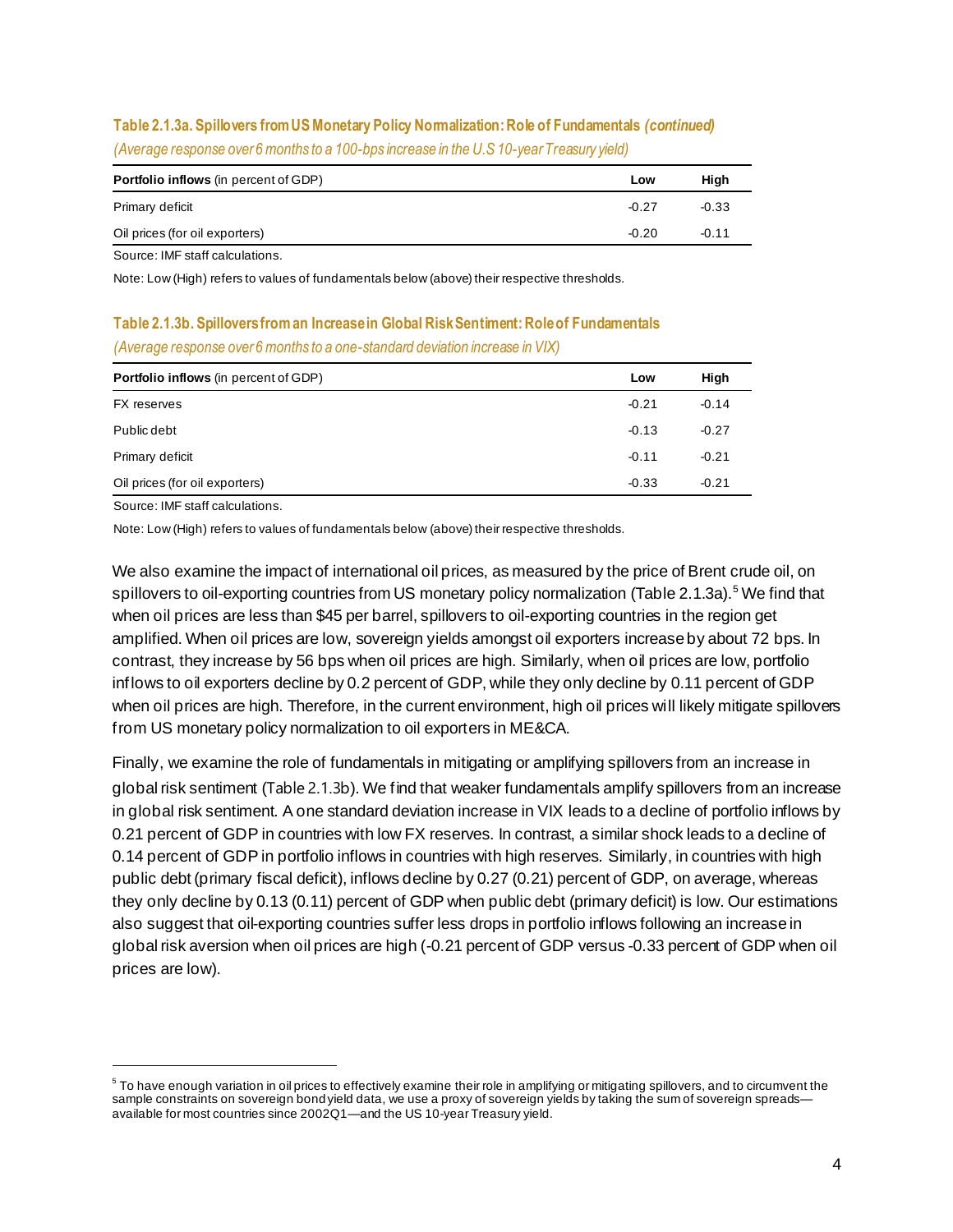| <b>Portfolio inflows</b> (in percent of GDP) | Low     | Hiah    |
|----------------------------------------------|---------|---------|
| Primary deficit                              | $-0.27$ | $-0.33$ |
| Oil prices (for oil exporters)               | $-0.20$ | $-0.11$ |
|                                              |         |         |

# **Table 2.1.3a. Spillovers from US Monetary Policy Normalization: Role of Fundamentals** *(continued)*

Source: IMF staff calculations.

Note: Low (High) refers to values of fundamentals below (above) their respective thresholds.

*(Average response over 6 months to a 100-bps increase in the U.S 10-year Treasury yield)*

# **Table 2.1.3b. Spillovers from an Increase in Global Risk Sentiment: Role of Fundamentals** *(Average response over 6 months to a one-standard deviation increase in VIX)*

| <b>Portfolio inflows</b> (in percent of GDP) | Low     | High    |
|----------------------------------------------|---------|---------|
| FX reserves                                  | $-0.21$ | $-0.14$ |
| Public debt                                  | $-0.13$ | $-0.27$ |
| Primary deficit                              | $-0.11$ | $-0.21$ |
| Oil prices (for oil exporters)               | $-0.33$ | $-0.21$ |

Source: IMF staff calculations.

Note: Low (High) refers to values of fundamentals below (above) their respective thresholds.

We also examine the impact of international oil prices, as measured by the price of Brent crude oil, on spillovers to oil-exporting countries from US monetary policy normalization (Table 2.1.3a).<sup>5</sup> We find that when oil prices are less than \$45 per barrel, spillovers to oil-exporting countries in the region get amplified. When oil prices are low, sovereign yields amongst oil exporters increase by about 72 bps. In contrast, they increase by 56 bps when oil prices are high. Similarly, when oil prices are low, portfolio inflows to oil exporters decline by 0.2 percent of GDP, while they only decline by 0.11 percent of GDP when oil prices are high. Therefore, in the current environment, high oil prices will likely mitigate spillovers from US monetary policy normalization to oil exporters in ME&CA.

Finally, we examine the role of fundamentals in mitigating or amplifying spillovers from an increase in global risk sentiment (Table 2.1.3b). We find that weaker fundamentals amplify spillovers from an increase in global risk sentiment. A one standard deviation increase in VIX leads to a decline of portfolio inflows by 0.21 percent of GDP in countries with low FX reserves. In contrast, a similar shock leads to a decline of 0.14 percent of GDP in portfolio inflows in countries with high reserves. Similarly, in countries with high public debt (primary fiscal deficit), inflows decline by 0.27 (0.21) percent of GDP, on average, whereas they only decline by 0.13 (0.11) percent of GDP when public debt (primary deficit) is low. Our estimations also suggest that oil-exporting countries suffer less drops in portfolio inflows following an increase in global risk aversion when oil prices are high (-0.21 percent of GDP versus -0.33 percent of GDP when oil prices are low).

 $^5$  To have enough variation in oil prices to effectively examine their role in amplifying or mitigating spillovers, and to circumvent the sample constraints on sovereign bond yield data, we use a proxy of sovereign yields by taking the sum of sovereign spreads available for most countries since 2002Q1—and the US 10-year Treasury yield.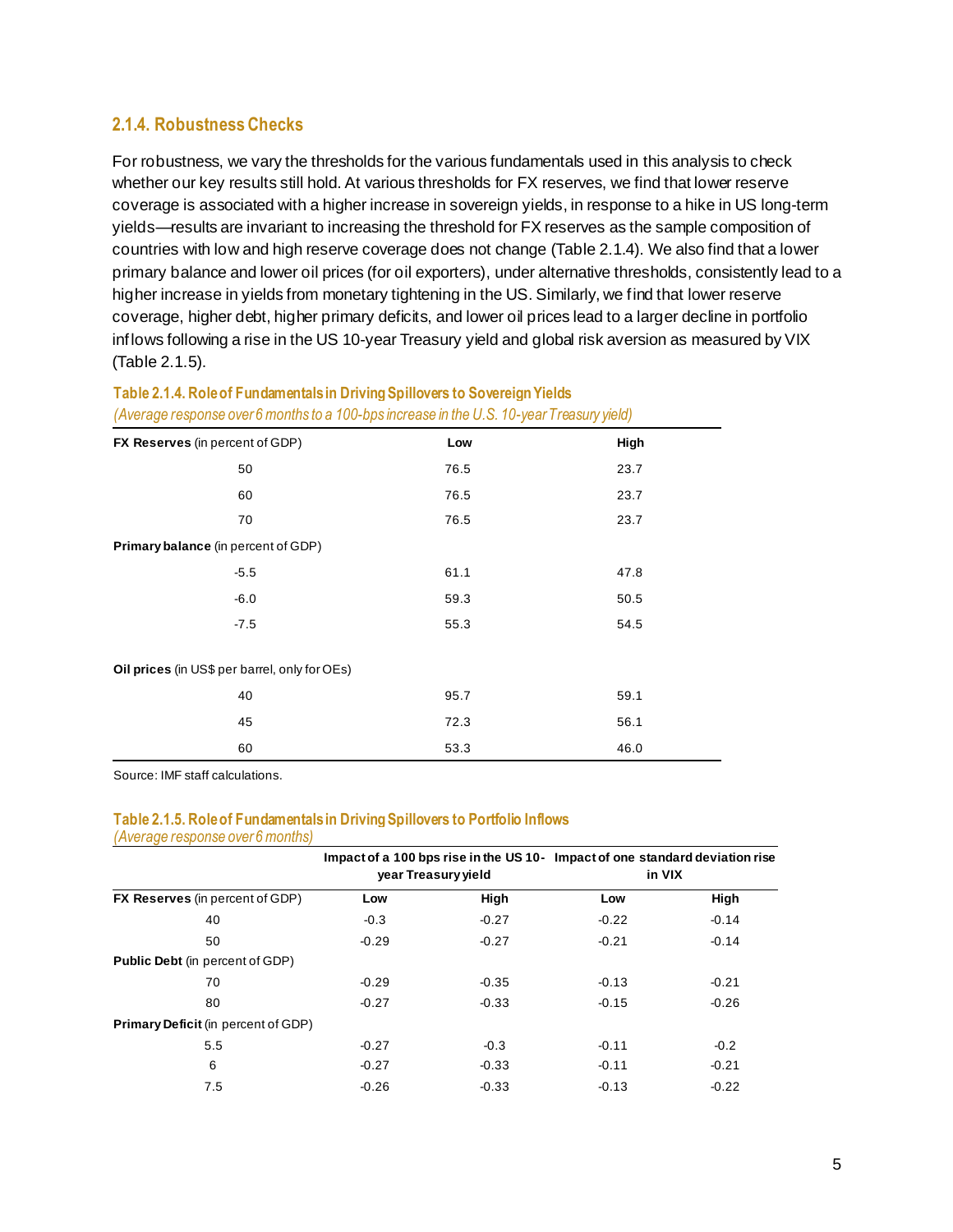# **2.1.4. Robustness Checks**

For robustness, we vary the thresholds for the various fundamentals used in this analysis to check whether our key results still hold. At various thresholds for FX reserves, we find that lower reserve coverage is associated with a higher increase in sovereign yields, in response to a hike in US long-term yields—results are invariant to increasing the threshold for FX reserves as the sample composition of countries with low and high reserve coverage does not change (Table 2.1.4). We also find that a lower primary balance and lower oil prices (for oil exporters), under alternative thresholds, consistently lead to a higher increase in yields from monetary tightening in the US. Similarly, we find that lower reserve coverage, higher debt, higher primary deficits, and lower oil prices lead to a larger decline in portfolio inflows following a rise in the US 10-year Treasury yield and global risk aversion as measured by VIX (Table 2.1.5).

| FX Reserves (in percent of GDP)               | Low  | High |  |
|-----------------------------------------------|------|------|--|
| 50                                            | 76.5 | 23.7 |  |
| 60                                            | 76.5 | 23.7 |  |
| 70                                            | 76.5 | 23.7 |  |
| Primary balance (in percent of GDP)           |      |      |  |
| $-5.5$                                        | 61.1 | 47.8 |  |
| $-6.0$                                        | 59.3 | 50.5 |  |
| $-7.5$                                        | 55.3 | 54.5 |  |
| Oil prices (in US\$ per barrel, only for OEs) |      |      |  |
| 40                                            | 95.7 | 59.1 |  |
| 45                                            | 72.3 | 56.1 |  |
| 60                                            | 53.3 | 46.0 |  |

#### **Table 2.1.4. Role of Fundamentals in Driving Spillovers to Sovereign Yields** *(Average response over 6 months to a 100-bps increase in the U.S. 10-year Treasury yield)*

Source: IMF staff calculations.

### **Table 2.1.5. Role of Fundamentals in Driving Spillovers to Portfolio Inflows**

*(Average response over 6 months)*

|                                            |         | year Treasury yield | Impact of a 100 bps rise in the US 10- Impact of one standard deviation rise<br>in VIX |         |
|--------------------------------------------|---------|---------------------|----------------------------------------------------------------------------------------|---------|
| <b>FX Reserves</b> (in percent of GDP)     | Low     | High                | Low                                                                                    | High    |
| 40                                         | $-0.3$  | $-0.27$             | $-0.22$                                                                                | $-0.14$ |
| 50                                         | $-0.29$ | $-0.27$             | $-0.21$                                                                                | $-0.14$ |
| <b>Public Debt</b> (in percent of GDP)     |         |                     |                                                                                        |         |
| 70                                         | $-0.29$ | $-0.35$             | $-0.13$                                                                                | $-0.21$ |
| 80                                         | $-0.27$ | $-0.33$             | $-0.15$                                                                                | $-0.26$ |
| <b>Primary Deficit</b> (in percent of GDP) |         |                     |                                                                                        |         |
| 5.5                                        | $-0.27$ | $-0.3$              | $-0.11$                                                                                | $-0.2$  |
| 6                                          | $-0.27$ | $-0.33$             | $-0.11$                                                                                | $-0.21$ |
| 7.5                                        | $-0.26$ | $-0.33$             | $-0.13$                                                                                | $-0.22$ |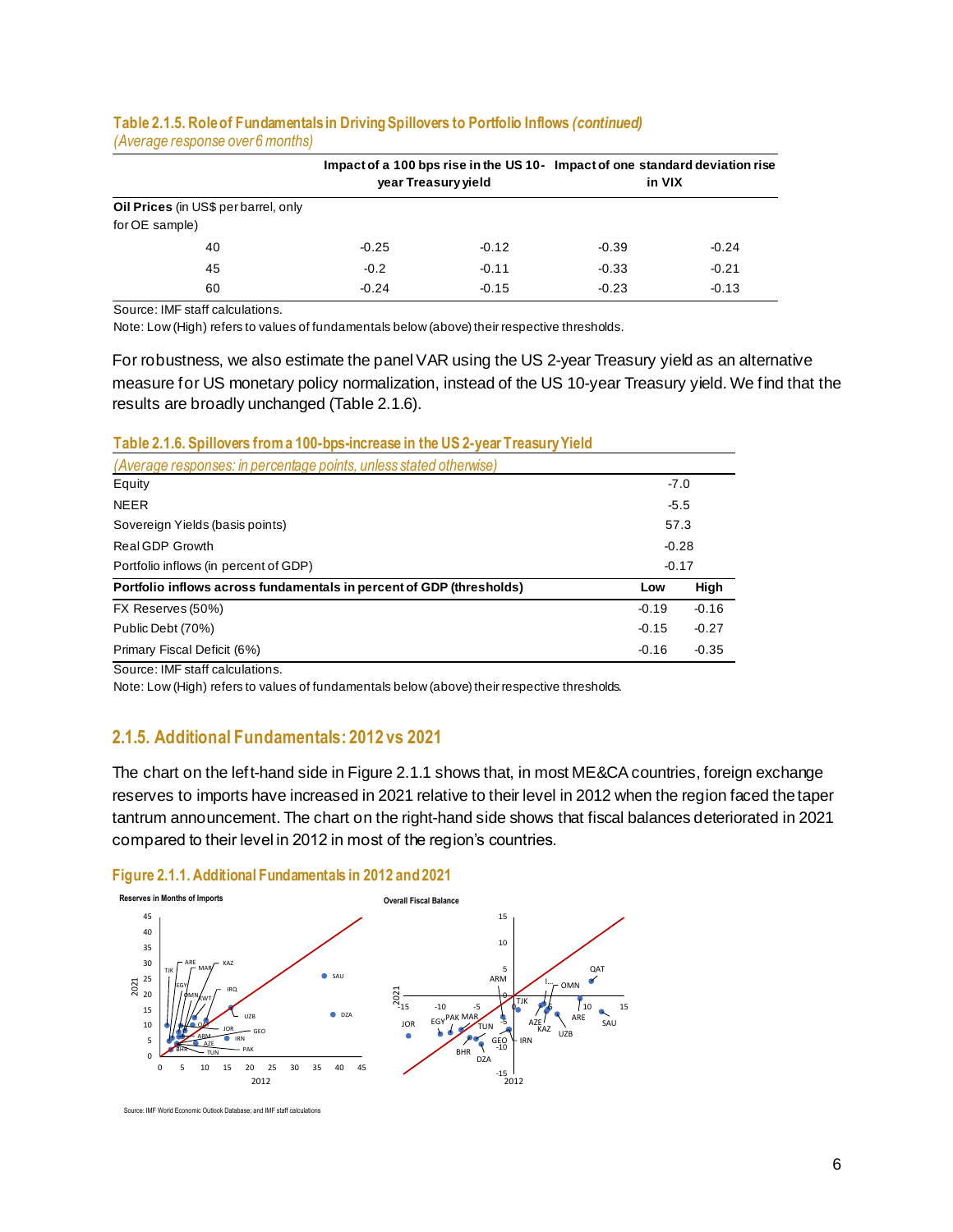#### **Table 2.1.5. Role of Fundamentals in Driving Spillovers to Portfolio Inflows** *(continued) (Average response over 6 months)*

|                                                               |         | year Treasury yield | Impact of a 100 bps rise in the US 10- Impact of one standard deviation rise<br>in VIX |         |
|---------------------------------------------------------------|---------|---------------------|----------------------------------------------------------------------------------------|---------|
| <b>Oil Prices</b> (in US\$ per barrel, only<br>for OE sample) |         |                     |                                                                                        |         |
| 40                                                            | $-0.25$ | $-0.12$             | $-0.39$                                                                                | $-0.24$ |
| 45                                                            | $-0.2$  | $-0.11$             | $-0.33$                                                                                | $-0.21$ |
| 60                                                            | $-0.24$ | $-0.15$             | $-0.23$                                                                                | $-0.13$ |

Source: IMF staff calculations.

Note: Low (High) refers to values of fundamentals below (above) their respective thresholds.

For robustness, we also estimate the panel VAR using the US 2-year Treasury yield as an alternative measure for US monetary policy normalization, instead of the US 10-year Treasury yield. We find that the results are broadly unchanged (Table 2.1.6).

**Table 2.1.6. Spillovers from a 100-bps-increase in the US 2-year Treasury Yield**

| (Average responses: in percentage points, unless stated otherwise)   |         |         |
|----------------------------------------------------------------------|---------|---------|
| Equity                                                               | $-7.0$  |         |
| <b>NEER</b>                                                          | $-5.5$  |         |
| Sovereign Yields (basis points)                                      | 57.3    |         |
| Real GDP Growth                                                      | $-0.28$ |         |
| Portfolio inflows (in percent of GDP)                                | $-0.17$ |         |
| Portfolio inflows across fundamentals in percent of GDP (thresholds) | Low     | High    |
| FX Reserves (50%)                                                    | $-0.19$ | $-0.16$ |
| Public Debt (70%)                                                    | $-0.15$ | $-0.27$ |
| Primary Fiscal Deficit (6%)                                          | $-0.16$ | $-0.35$ |

Source: IMF staff calculations.

Note: Low (High) refers to values of fundamentals below (above) their respective thresholds.

# **2.1.5. Additional Fundamentals: 2012 vs 2021**

The chart on the left-hand side in Figure 2.1.1 shows that, in most ME&CA countries, foreign exchange reserves to imports have increased in 2021 relative to their level in 2012 when the region faced the taper tantrum announcement. The chart on the right-hand side shows that fiscal balances deteriorated in 2021 compared to their level in 2012 in most of the region's countries.





Source: IMF World Economic Outlook Database; and IMF staff calculations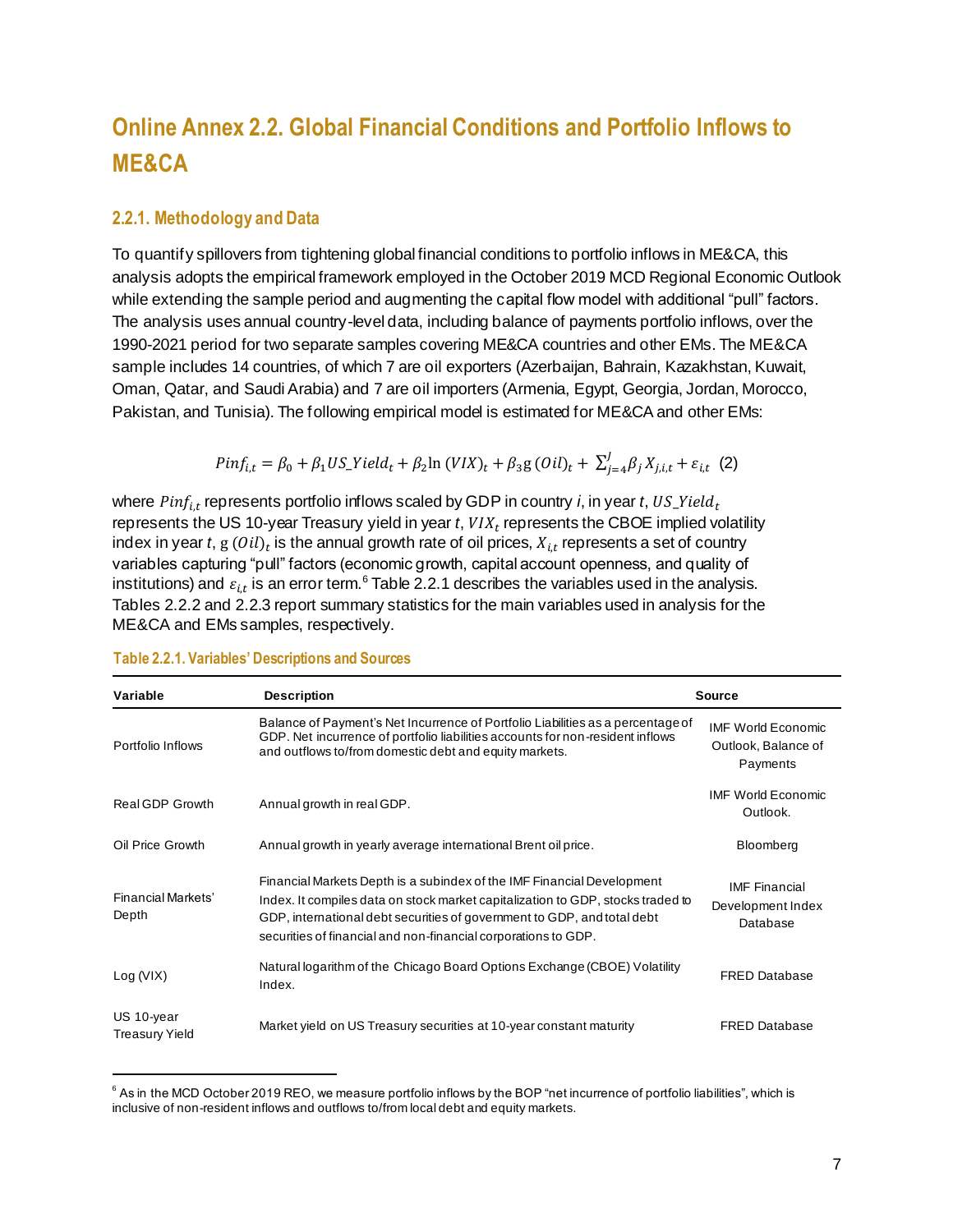# **Online Annex 2.2. Global Financial Conditions and Portfolio Inflows to ME&CA**

# **2.2.1. Methodology and Data**

To quantify spillovers from tightening global financial conditions to portfolio inflows in ME&CA, this analysis adopts the empirical framework employed in the October 2019 MCD Regional Economic Outlook while extending the sample period and augmenting the capital flow model with additional "pull" factors. The analysis uses annual country-level data, including balance of payments portfolio inflows, over the 1990-2021 period for two separate samples covering ME&CA countries and other EMs. The ME&CA sample includes 14 countries, of which 7 are oil exporters (Azerbaijan, Bahrain, Kazakhstan, Kuwait, Oman, Qatar, and Saudi Arabia) and 7 are oil importers (Armenia, Egypt, Georgia, Jordan, Morocco, Pakistan, and Tunisia). The following empirical model is estimated for ME&CA and other EMs:

$$
Pinf_{i,t} = \beta_0 + \beta_1 US\_Yield_t + \beta_2 \ln (VIX)_t + \beta_3 g (Oil)_t + \sum_{j=4}^{J} \beta_j X_{j,i,t} + \varepsilon_{i,t} (2)
$$

where  $\mathit{Pinf}_{i,t}$  represents portfolio inflows scaled by GDP in country *i*, in year *t*,  $\mathit{US\_Yield}_t$ represents the US 10-year Treasury yield in year *t*,  $VIX_t$  represents the CBOE implied volatility index in year  $t$ ,  $\mathrm{g}\left(\mathit{Oil}\right)_{t}$  is the annual growth rate of oil prices,  $X_{i,t}$  represents a set of country variables capturing "pull" factors (economic growth, capital account openness, and quality of institutions) and  $\varepsilon_{i,t}$  is an error term. $^6$  Table 2.2.1 describes the variables used in the analysis. Tables 2.2.2 and 2.2.3 report summary statistics for the main variables used in analysis for the ME&CA and EMs samples, respectively.

| Variable                            | <b>Description</b>                                                                                                                                                                                                                                                                                     | <b>Source</b>                                                |
|-------------------------------------|--------------------------------------------------------------------------------------------------------------------------------------------------------------------------------------------------------------------------------------------------------------------------------------------------------|--------------------------------------------------------------|
| Portfolio Inflows                   | Balance of Payment's Net Incurrence of Portfolio Liabilities as a percentage of<br>GDP. Net incurrence of portfolio liabilities accounts for non-resident inflows<br>and outflows to/from domestic debt and equity markets.                                                                            | <b>IMF World Economic</b><br>Outlook, Balance of<br>Payments |
| Real GDP Growth                     | Annual growth in real GDP.                                                                                                                                                                                                                                                                             | <b>IMF World Fconomic</b><br>Outlook.                        |
| Oil Price Growth                    | Annual growth in yearly average international Brent oil price.                                                                                                                                                                                                                                         | Bloomberg                                                    |
| <b>Financial Markets'</b><br>Depth  | Financial Markets Depth is a subindex of the IMF Financial Development<br>Index. It compiles data on stock market capitalization to GDP, stocks traded to<br>GDP, international debt securities of government to GDP, and total debt<br>securities of financial and non-financial corporations to GDP. | <b>IMF Financial</b><br>Development Index<br>Database        |
| Log (VIX)                           | Natural logarithm of the Chicago Board Options Exchange (CBOE) Volatility<br>Index.                                                                                                                                                                                                                    | <b>FRED Database</b>                                         |
| US 10-year<br><b>Treasury Yield</b> | Market yield on US Treasury securities at 10-year constant maturity                                                                                                                                                                                                                                    | <b>FRED Database</b>                                         |

#### **Table 2.2.1. Variables' Descriptions and Sources**

 $6$  As in the MCD October 2019 REO, we measure portfolio inflows by the BOP "net incurrence of portfolio liabilities", which is inclusive of non-resident inflows and outflows to/from local debt and equity markets.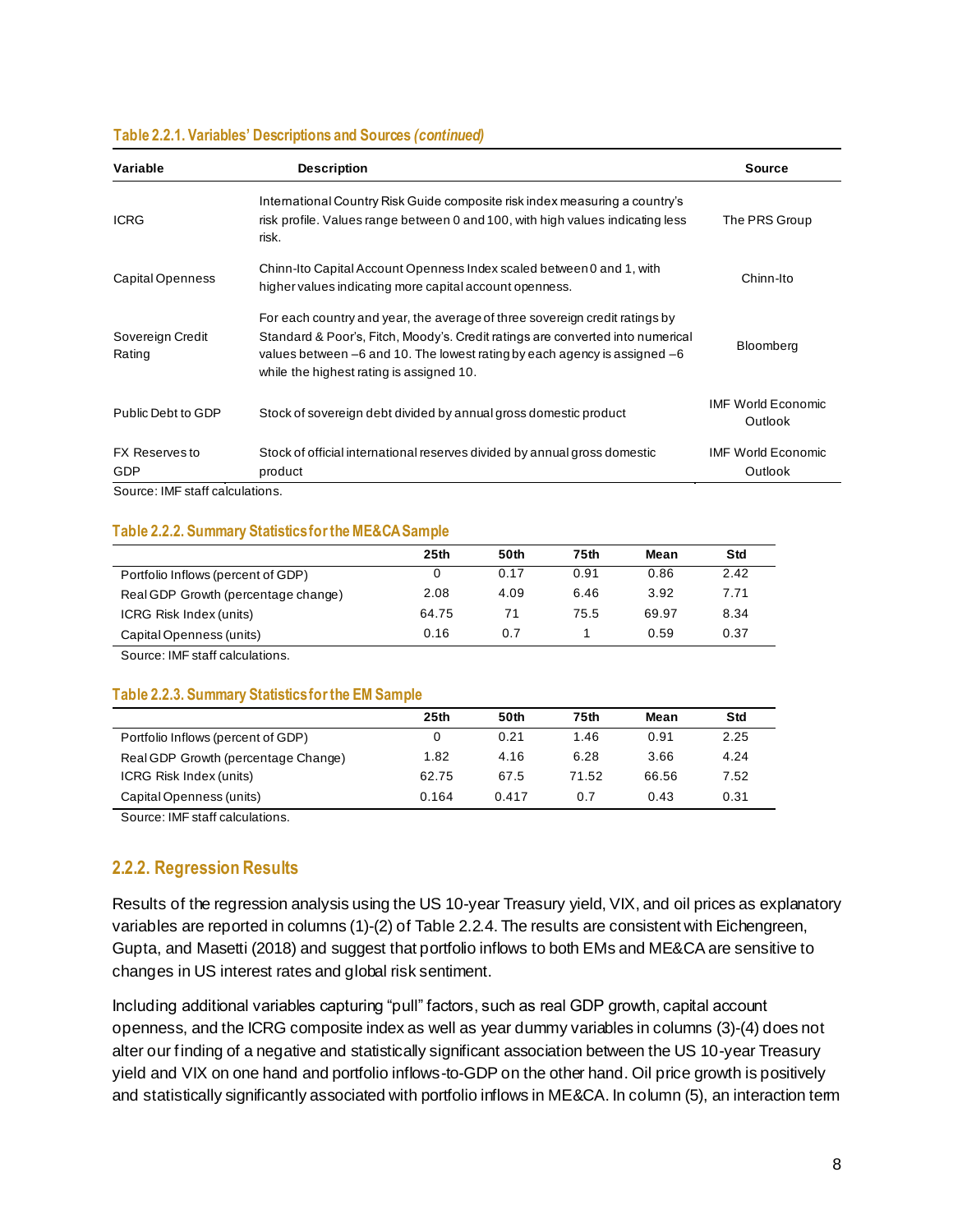#### **Table 2.2.1. Variables' Descriptions and Sources** *(continued)*

| Variable                            | <b>Description</b>                                                                                                                                                                                                                                                                         | <b>Source</b>                        |
|-------------------------------------|--------------------------------------------------------------------------------------------------------------------------------------------------------------------------------------------------------------------------------------------------------------------------------------------|--------------------------------------|
| <b>ICRG</b>                         | International Country Risk Guide composite risk index measuring a country's<br>risk profile. Values range between 0 and 100, with high values indicating less<br>risk.                                                                                                                     | The PRS Group                        |
| Capital Openness                    | Chinn-Ito Capital Account Openness Index scaled between 0 and 1, with<br>higher values indicating more capital account openness.                                                                                                                                                           | Chinn-Ito                            |
| Sovereign Credit<br>Rating          | For each country and year, the average of three sovereign credit ratings by<br>Standard & Poor's, Fitch, Moody's. Credit ratings are converted into numerical<br>values between $-6$ and 10. The lowest rating by each agency is assigned $-6$<br>while the highest rating is assigned 10. | Bloomberg                            |
| Public Debt to GDP                  | Stock of sovereign debt divided by annual gross domestic product                                                                                                                                                                                                                           | <b>IMF World Economic</b><br>Outlook |
| <b>FX Reserves to</b><br><b>GDP</b> | Stock of official international reserves divided by annual gross domestic<br>product                                                                                                                                                                                                       | <b>IMF World Economic</b><br>Outlook |

Source: IMF staff calculations.

#### **Table 2.2.2. Summary Statistics for the ME&CA Sample**

|                                     | 25 <sub>th</sub> | 50th | 75th | Mean  | Std  |
|-------------------------------------|------------------|------|------|-------|------|
| Portfolio Inflows (percent of GDP)  |                  | 0.17 | 0.91 | 0.86  | 2.42 |
| Real GDP Growth (percentage change) | 2.08             | 4.09 | 6.46 | 3.92  | 7.71 |
| ICRG Risk Index (units)             | 64.75            | 71   | 75.5 | 69.97 | 8.34 |
| Capital Openness (units)            | 0.16             | 0.7  |      | 0.59  | 0.37 |

Source: IMF staff calculations.

#### **Table 2.2.3. Summary Statistics for the EMSample**

|                                     | 25th  | 50th  | 75th  | Mean  | Std  |
|-------------------------------------|-------|-------|-------|-------|------|
| Portfolio Inflows (percent of GDP)  |       | 0.21  | 1.46  | 0.91  | 2.25 |
| Real GDP Growth (percentage Change) | 1.82  | 4.16  | 6.28  | 3.66  | 4.24 |
| ICRG Risk Index (units)             | 62.75 | 67.5  | 71.52 | 66.56 | 7.52 |
| Capital Openness (units)            | 0.164 | 0.417 | 0.7   | 0.43  | 0.31 |

Source: IMF staff calculations.

# **2.2.2. Regression Results**

Results of the regression analysis using the US 10-year Treasury yield, VIX, and oil prices as explanatory variables are reported in columns (1)-(2) of Table 2.2.4. The results are consistent with Eichengreen, Gupta, and Masetti (2018) and suggest that portfolio inflows to both EMs and ME&CA are sensitive to changes in US interest rates and global risk sentiment.

Including additional variables capturing "pull" factors, such as real GDP growth, capital account openness, and the ICRG composite index as well as year dummy variables in columns (3)-(4) does not alter our finding of a negative and statistically significant association between the US 10-year Treasury yield and VIX on one hand and portfolio inflows-to-GDP on the other hand. Oil price growth is positively and statistically significantly associated with portfolio inflows in ME&CA. In column (5), an interaction term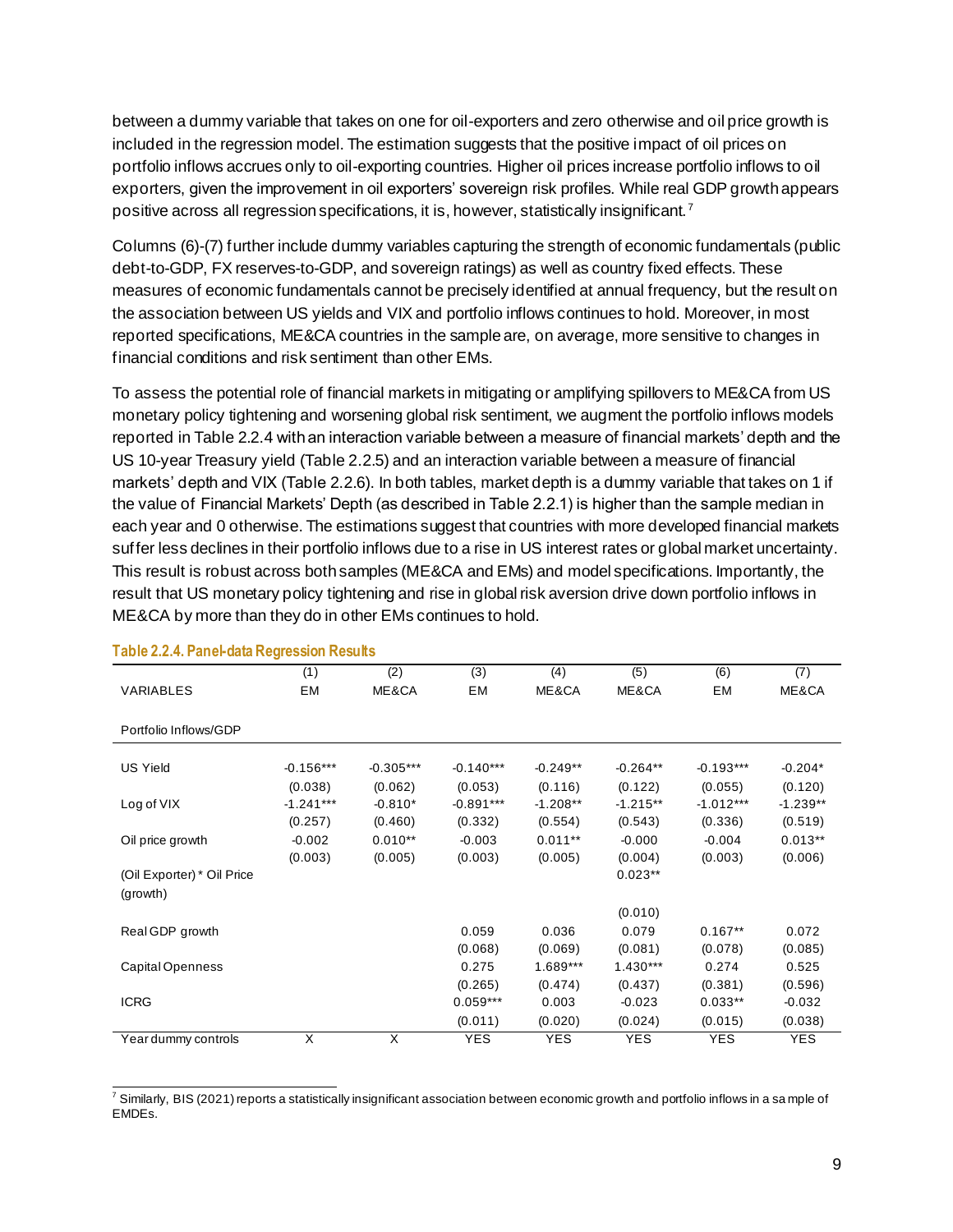between a dummy variable that takes on one for oil-exporters and zero otherwise and oil price growth is included in the regression model. The estimation suggests that the positive impact of oil prices on portfolio inflows accrues only to oil-exporting countries. Higher oil prices increase portfolio inflows to oil exporters, given the improvement in oil exporters' sovereign risk profiles. While real GDP growth appears positive across all regression specifications, it is, however, statistically insignificant. <sup>7</sup>

Columns (6)-(7) further include dummy variables capturing the strength of economic fundamentals (public debt-to-GDP, FX reserves-to-GDP, and sovereign ratings) as well as country fixed effects. These measures of economic fundamentals cannot be precisely identified at annual frequency, but the result on the association between US yields and VIX and portfolio inflows continues to hold. Moreover, in most reported specifications, ME&CA countries in the sample are, on average, more sensitive to changes in financial conditions and risk sentiment than other EMs.

To assess the potential role of financial markets in mitigating or amplifying spillovers to ME&CA from US monetary policy tightening and worsening global risk sentiment, we augment the portfolio inflows models reported in Table 2.2.4 with an interaction variable between a measure of financial markets' depth and the US 10-year Treasury yield (Table 2.2.5) and an interaction variable between a measure of financial markets' depth and VIX (Table 2.2.6). In both tables, market depth is a dummy variable that takes on 1 if the value of Financial Markets' Depth (as described in Table 2.2.1) is higher than the sample median in each year and 0 otherwise. The estimations suggest that countries with more developed financial markets suffer less declines in their portfolio inflows due to a rise in US interest rates or global market uncertainty. This result is robust across both samples (ME&CA and EMs) and model specifications. Importantly, the result that US monetary policy tightening and rise in global risk aversion drive down portfolio inflows in ME&CA by more than they do in other EMs continues to hold.

|                            | (1)         | $\overline{(2)}$ | (3)         | (4)        | $\overline{(5)}$ | (6)         | (7)        |
|----------------------------|-------------|------------------|-------------|------------|------------------|-------------|------------|
| <b>VARIABLES</b>           | EM          | ME&CA            | EM          | ME&CA      | ME&CA            | EM          | ME&CA      |
|                            |             |                  |             |            |                  |             |            |
| Portfolio Inflows/GDP      |             |                  |             |            |                  |             |            |
|                            |             |                  |             |            |                  |             |            |
| <b>US Yield</b>            | $-0.156***$ | $-0.305***$      | $-0.140***$ | $-0.249**$ | $-0.264**$       | $-0.193***$ | $-0.204*$  |
|                            | (0.038)     | (0.062)          | (0.053)     | (0.116)    | (0.122)          | (0.055)     | (0.120)    |
| Log of VIX                 | $-1.241***$ | $-0.810*$        | $-0.891***$ | $-1.208**$ | $-1.215**$       | $-1.012***$ | $-1.239**$ |
|                            | (0.257)     | (0.460)          | (0.332)     | (0.554)    | (0.543)          | (0.336)     | (0.519)    |
| Oil price growth           | $-0.002$    | $0.010**$        | $-0.003$    | $0.011**$  | $-0.000$         | $-0.004$    | $0.013**$  |
|                            | (0.003)     | (0.005)          | (0.003)     | (0.005)    | (0.004)          | (0.003)     | (0.006)    |
| (Oil Exporter) * Oil Price |             |                  |             |            | $0.023**$        |             |            |
| (growth)                   |             |                  |             |            |                  |             |            |
|                            |             |                  |             |            | (0.010)          |             |            |
| Real GDP growth            |             |                  | 0.059       | 0.036      | 0.079            | $0.167**$   | 0.072      |
|                            |             |                  | (0.068)     | (0.069)    | (0.081)          | (0.078)     | (0.085)    |
| <b>Capital Openness</b>    |             |                  | 0.275       | 1.689***   | $1.430***$       | 0.274       | 0.525      |
|                            |             |                  | (0.265)     | (0.474)    | (0.437)          | (0.381)     | (0.596)    |
| <b>ICRG</b>                |             |                  | $0.059***$  | 0.003      | $-0.023$         | $0.033**$   | $-0.032$   |
|                            |             |                  | (0.011)     | (0.020)    | (0.024)          | (0.015)     | (0.038)    |
| Year dummy controls        | X           | X                | <b>YES</b>  | <b>YES</b> | <b>YES</b>       | <b>YES</b>  | <b>YES</b> |

#### **Table 2.2.4. Panel-data Regression Results**

 $^7$  Similarly, BIS (2021) reports a statistically insignificant association between economic growth and portfolio inflows in a sample of EMDEs.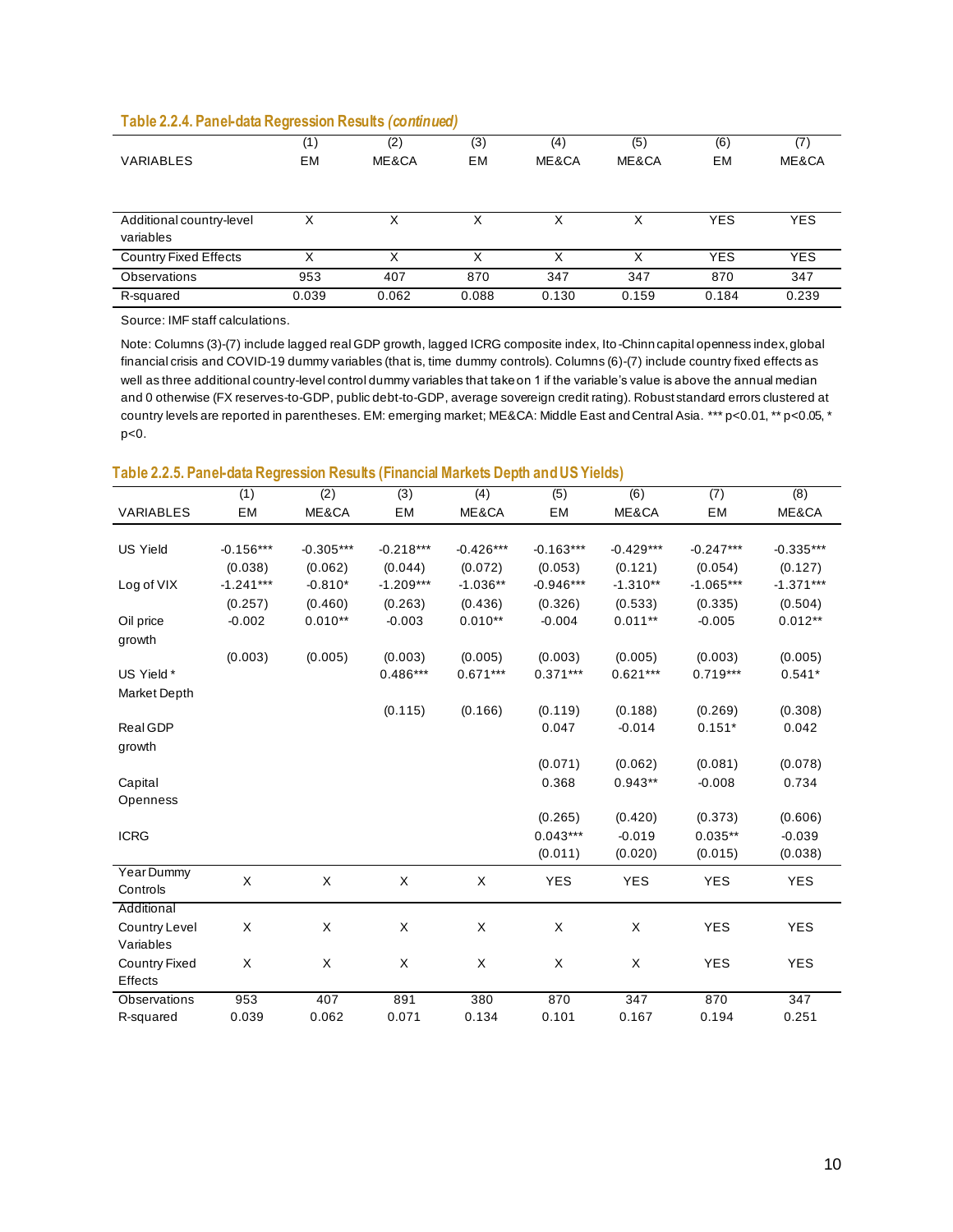#### **Table 2.2.4. Panel-data Regression Results** *(continued)*

|                              | (1)   | (2)   | (3)   | (4)   | (5)   | (6)        |            |
|------------------------------|-------|-------|-------|-------|-------|------------|------------|
| <b>VARIABLES</b>             | EM    | ME&CA | EM    | ME&CA | ME&CA | EM         | ME&CA      |
|                              |       |       |       |       |       |            |            |
|                              |       |       |       |       |       |            |            |
| Additional country-level     | X     |       | Χ     | x     | X     | <b>YES</b> | <b>YES</b> |
| variables                    |       |       |       |       |       |            |            |
| <b>Country Fixed Effects</b> | Χ     |       | Χ     | х     | X     | <b>YES</b> | <b>YES</b> |
| Observations                 | 953   | 407   | 870   | 347   | 347   | 870        | 347        |
| R-squared                    | 0.039 | 0.062 | 0.088 | 0.130 | 0.159 | 0.184      | 0.239      |

Source: IMF staff calculations.

Note: Columns (3)-(7) include lagged real GDP growth, lagged ICRG composite index, Ito-Chinn capital openness index, global financial crisis and COVID-19 dummy variables (that is, time dummy controls). Columns (6)-(7) include country fixed effects as well as three additional country-level control dummy variables that take on 1 if the variable's value is above the annual median and 0 otherwise (FX reserves-to-GDP, public debt-to-GDP, average sovereign credit rating). Robust standard errors clustered at country levels are reported in parentheses. EM: emerging market; ME&CA: Middle East and Central Asia. \*\*\* p<0.01, \*\* p<0.05, \* p<0.

#### **Table 2.2.5. Panel-data Regression Results (Financial Markets Depth and US Yields)**

|                        | $\overline{(1)}$ | $\overline{(2)}$ | $\overline{3)}$ | $\overline{(4)}$ | (5)         | (6)         | $\overline{(7)}$ | (8)         |
|------------------------|------------------|------------------|-----------------|------------------|-------------|-------------|------------------|-------------|
| <b>VARIABLES</b>       | EM               | ME&CA            | EM              | ME&CA            | EM          | ME&CA       | EM               | ME&CA       |
|                        |                  |                  |                 |                  |             |             |                  |             |
| <b>US Yield</b>        | $-0.156***$      | $-0.305***$      | $-0.218***$     | $-0.426***$      | $-0.163***$ | $-0.429***$ | $-0.247***$      | $-0.335***$ |
|                        | (0.038)          | (0.062)          | (0.044)         | (0.072)          | (0.053)     | (0.121)     | (0.054)          | (0.127)     |
| Log of VIX             | $-1.241***$      | $-0.810*$        | $-1.209***$     | $-1.036**$       | $-0.946***$ | $-1.310**$  | $-1.065***$      | $-1.371***$ |
|                        | (0.257)          | (0.460)          | (0.263)         | (0.436)          | (0.326)     | (0.533)     | (0.335)          | (0.504)     |
| Oil price<br>growth    | $-0.002$         | $0.010**$        | $-0.003$        | $0.010**$        | $-0.004$    | $0.011**$   | $-0.005$         | $0.012**$   |
|                        | (0.003)          | (0.005)          | (0.003)         | (0.005)          | (0.003)     | (0.005)     | (0.003)          | (0.005)     |
| US Yield *             |                  |                  | $0.486***$      | $0.671***$       | $0.371***$  | $0.621***$  | $0.719***$       | $0.541*$    |
| Market Depth           |                  |                  |                 |                  |             |             |                  |             |
|                        |                  |                  | (0.115)         | (0.166)          | (0.119)     | (0.188)     | (0.269)          | (0.308)     |
| Real GDP               |                  |                  |                 |                  | 0.047       | $-0.014$    | $0.151*$         | 0.042       |
| growth                 |                  |                  |                 |                  |             |             |                  |             |
|                        |                  |                  |                 |                  | (0.071)     | (0.062)     | (0.081)          | (0.078)     |
| Capital                |                  |                  |                 |                  | 0.368       | $0.943**$   | $-0.008$         | 0.734       |
| Openness               |                  |                  |                 |                  |             |             |                  |             |
|                        |                  |                  |                 |                  | (0.265)     | (0.420)     | (0.373)          | (0.606)     |
| <b>ICRG</b>            |                  |                  |                 |                  | $0.043***$  | $-0.019$    | $0.035**$        | $-0.039$    |
|                        |                  |                  |                 |                  | (0.011)     | (0.020)     | (0.015)          | (0.038)     |
| Year Dummy<br>Controls | X                | X                | X               | X                | <b>YES</b>  | <b>YES</b>  | <b>YES</b>       | <b>YES</b>  |
| Additional             |                  |                  |                 |                  |             |             |                  |             |
| <b>Country Level</b>   | X                | X                | X               | X                | X           | X           | <b>YES</b>       | <b>YES</b>  |
| Variables              |                  |                  |                 |                  |             |             |                  |             |
| <b>Country Fixed</b>   | X                | X                | X               | X                | X           | X           | <b>YES</b>       | <b>YES</b>  |
| Effects                |                  |                  |                 |                  |             |             |                  |             |
| Observations           | 953              | 407              | 891             | 380              | 870         | 347         | 870              | 347         |
| R-squared              | 0.039            | 0.062            | 0.071           | 0.134            | 0.101       | 0.167       | 0.194            | 0.251       |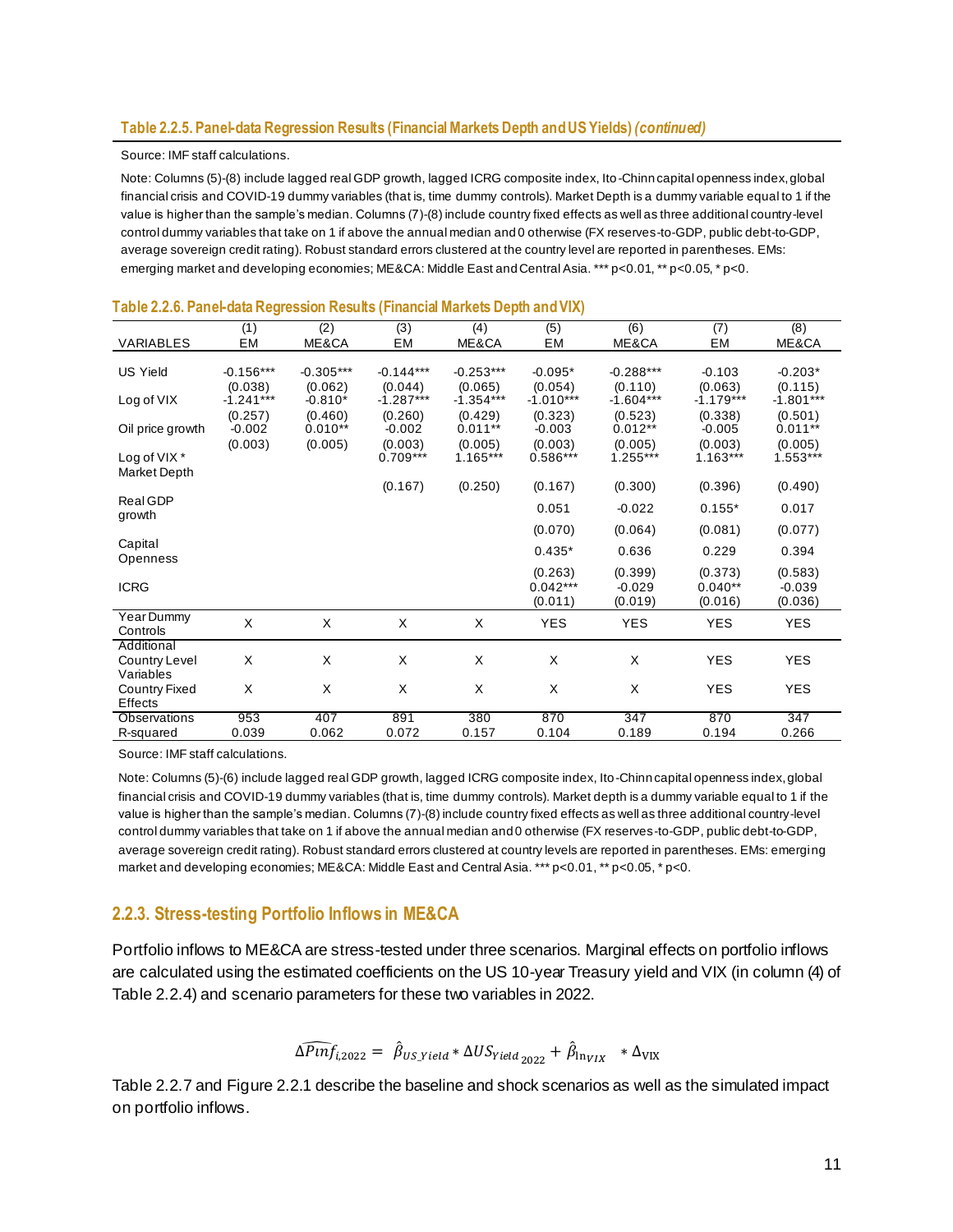#### Source: IMF staff calculations.

Note: Columns (5)-(8) include lagged real GDP growth, lagged ICRG composite index, Ito-Chinn capital openness index, global financial crisis and COVID-19 dummy variables (that is, time dummy controls). Market Depth is a dummy variable equal to 1 if the value is higher than the sample's median. Columns (7)-(8) include country fixed effects as well as three additional country-level control dummy variables that take on 1 if above the annual median and 0 otherwise (FX reserves-to-GDP, public debt-to-GDP, average sovereign credit rating). Robust standard errors clustered at the country level are reported in parentheses. EMs: emerging market and developing economies; ME&CA: Middle East and Central Asia. \*\*\* p<0.01, \*\* p<0.05, \* p<0.

| <b>VARIABLES</b>                         | (1)<br>EM              | (2)<br>ME&CA         | (3)<br>EM              | (4)<br>ME&CA           | (5)<br>EM                        | (6)<br>ME&CA                   | (7)<br>EM                       | (8)<br>ME&CA                   |
|------------------------------------------|------------------------|----------------------|------------------------|------------------------|----------------------------------|--------------------------------|---------------------------------|--------------------------------|
|                                          |                        |                      |                        |                        |                                  |                                |                                 |                                |
| <b>US Yield</b>                          | $-0.156***$            | $-0.305***$          | $-0.144***$            | $-0.253***$            | $-0.095*$                        | $-0.288***$                    | $-0.103$                        | $-0.203*$                      |
| Log of VIX                               | (0.038)<br>$-1.241***$ | (0.062)<br>$-0.810*$ | (0.044)<br>$-1.287***$ | (0.065)<br>$-1.354***$ | (0.054)<br>$-1.010***$           | (0.110)<br>$-1.604***$         | (0.063)<br>$-1.179***$          | (0.115)<br>$-1.801***$         |
| Oil price growth                         | (0.257)<br>$-0.002$    | (0.460)<br>$0.010**$ | (0.260)<br>$-0.002$    | (0.429)<br>$0.011**$   | (0.323)<br>$-0.003$              | (0.523)<br>$0.012**$           | (0.338)<br>$-0.005$             | (0.501)<br>$0.011**$           |
| Log of VIX $*$                           | (0.003)                | (0.005)              | (0.003)<br>$0.709***$  | (0.005)<br>$1.165***$  | (0.003)<br>$0.586***$            | (0.005)<br>$1.255***$          | (0.003)<br>$1.163***$           | (0.005)<br>$1.553***$          |
| Market Depth                             |                        |                      | (0.167)                | (0.250)                | (0.167)                          | (0.300)                        | (0.396)                         | (0.490)                        |
| Real GDP<br>growth                       |                        |                      |                        |                        | 0.051                            | $-0.022$                       | $0.155*$                        | 0.017                          |
|                                          |                        |                      |                        |                        | (0.070)                          | (0.064)                        | (0.081)                         | (0.077)                        |
| Capital<br>Openness                      |                        |                      |                        |                        | $0.435*$                         | 0.636                          | 0.229                           | 0.394                          |
| <b>ICRG</b>                              |                        |                      |                        |                        | (0.263)<br>$0.042***$<br>(0.011) | (0.399)<br>$-0.029$<br>(0.019) | (0.373)<br>$0.040**$<br>(0.016) | (0.583)<br>$-0.039$<br>(0.036) |
| Year Dummy<br>Controls                   | X                      | X                    | X                      | X                      | <b>YES</b>                       | <b>YES</b>                     | <b>YES</b>                      | <b>YES</b>                     |
| Additional<br>Country Level<br>Variables | X                      | X                    | X                      | X                      | X                                | X                              | <b>YES</b>                      | <b>YES</b>                     |
| <b>Country Fixed</b><br>Effects          | X                      | X                    | X                      | X                      | X                                | X                              | <b>YES</b>                      | <b>YES</b>                     |
| Observations<br>R-squared                | 953<br>0.039           | 407<br>0.062         | 891<br>0.072           | 380<br>0.157           | 870<br>0.104                     | 347<br>0.189                   | 870<br>0.194                    | 347<br>0.266                   |

#### **Table 2.2.6. Panel-data Regression Results (Financial Markets Depth and VIX)**

Source: IMF staff calculations.

Note: Columns (5)-(6) include lagged real GDP growth, lagged ICRG composite index, Ito-Chinn capital openness index, global financial crisis and COVID-19 dummy variables (that is, time dummy controls). Market depth is a dummy variable equal to 1 if the value is higher than the sample's median. Columns (7)-(8) include country fixed effects as well as three additional country-level control dummy variables that take on 1 if above the annual median and 0 otherwise (FX reserves-to-GDP, public debt-to-GDP, average sovereign credit rating). Robust standard errors clustered at country levels are reported in parentheses. EMs: emerging market and developing economies; ME&CA: Middle East and Central Asia. \*\*\* p<0.01, \*\* p<0.05, \* p<0.

### **2.2.3. Stress-testing Portfolio Inflows in ME&CA**

Portfolio inflows to ME&CA are stress-tested under three scenarios. Marginal effects on portfolio inflows are calculated using the estimated coefficients on the US 10-year Treasury yield and VIX (in column (4) of Table 2.2.4) and scenario parameters for these two variables in 2022.

$$
\widehat{\Delta Pinf}_{i,2022} = \hat{\beta}_{US\_Yield} * \Delta US_{Yield_{2022}} + \hat{\beta}_{\ln_{VIX}} * \Delta_{VIX}
$$

Table 2.2.7 and Figure 2.2.1 describe the baseline and shock scenarios as well as the simulated impact on portfolio inflows.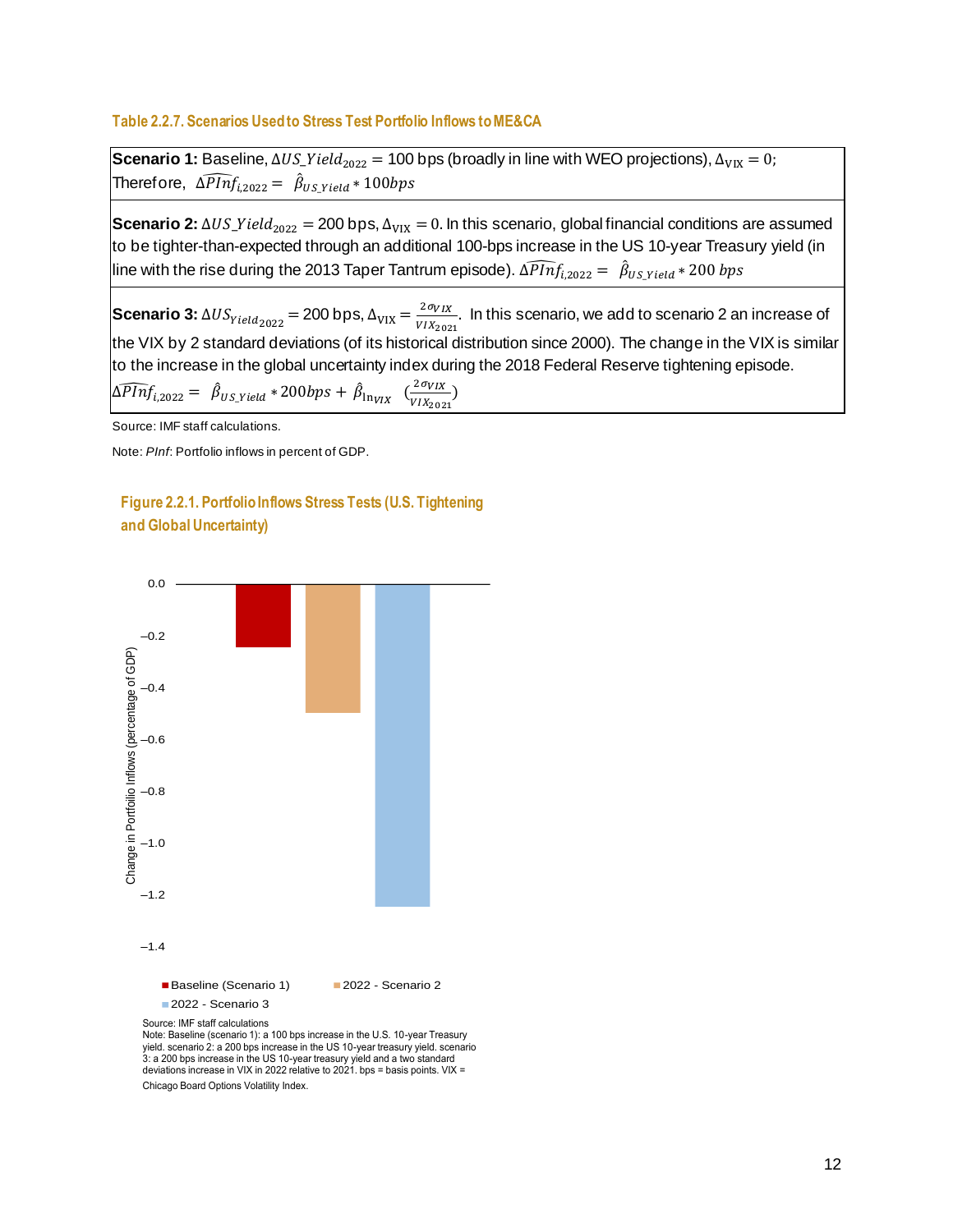#### **Table 2.2.7. Scenarios Used to Stress Test Portfolio Inflows to ME&CA**

**Scenario 1:** Baseline,  $\Delta US\_Yield_{2022} = 100$  bps (broadly in line with WEO projections),  $\Delta_{VIX} = 0$ ; Therefore,  $\widehat{\Delta PInf}_{i,2022} = \ \hat{\beta}_{US\_Yield} * 100bps$ 

**Scenario 2:**  $\Delta US_Yield_{2022} = 200$  bps,  $\Delta_{VIX} = 0$ . In this scenario, global financial conditions are assumed to be tighter-than-expected through an additional 100-bps increase in the US 10-year Treasury yield (in line with the rise during the 2013 Taper Tantrum episode).  $\widehat{\Delta PInf}_{i,2022}=\ \hat{\beta}_{US\_Yield}*200\ bps$ 

**Scenario 3:**  $\Delta US_{Yield_{2022}} = 200$  bps,  $\Delta_{\text{VIX}} = \frac{2 \sigma_{VIX}}{VIX_{202}}$  $\frac{20VIX}{VIX_{2021}}$ . In this scenario, we add to scenario 2 an increase of the VIX by 2 standard deviations (of its historical distribution since 2000). The change in the VIX is similar to the increase in the global uncertainty index during the 2018 Federal Reserve tightening episode.  $2 \pi r r \nu$ 

$$
\Delta \widehat{PInf}_{i,2022} = \hat{\beta}_{USYield} * 200bps + \hat{\beta}_{\ln_{VIX}} \left( \frac{2\sigma_{VIX}}{VIX_{2021}} \right)
$$

Source: IMF staff calculations.

Note: *PInf*: Portfolio inflows in percent of GDP.

### **Figure 2.2.1. Portfolio Inflows Stress Tests (U.S. Tightening and Global Uncertainty)**



yield. scenario 2: a 200 bps increase in the US 10-year treasury yield. scenario 3: a 200 bps increase in the US 10-year treasury yield and a two standard deviations increase in VIX in 2022 relative to 2021. bps = basis points. VIX = Chicago Board Options Volatility Index.